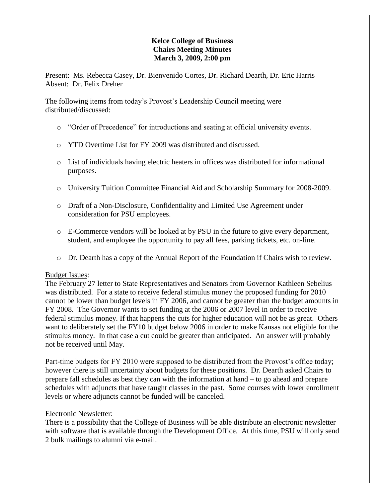# **Kelce College of Business Chairs Meeting Minutes March 3, 2009, 2:00 pm**

Present: Ms. Rebecca Casey, Dr. Bienvenido Cortes, Dr. Richard Dearth, Dr. Eric Harris Absent: Dr. Felix Dreher

The following items from today's Provost's Leadership Council meeting were distributed/discussed:

- o "Order of Precedence" for introductions and seating at official university events.
- o YTD Overtime List for FY 2009 was distributed and discussed.
- o List of individuals having electric heaters in offices was distributed for informational purposes.
- o University Tuition Committee Financial Aid and Scholarship Summary for 2008-2009.
- o Draft of a Non-Disclosure, Confidentiality and Limited Use Agreement under consideration for PSU employees.
- o E-Commerce vendors will be looked at by PSU in the future to give every department, student, and employee the opportunity to pay all fees, parking tickets, etc. on-line.
- o Dr. Dearth has a copy of the Annual Report of the Foundation if Chairs wish to review.

#### Budget Issues:

The February 27 letter to State Representatives and Senators from Governor Kathleen Sebelius was distributed. For a state to receive federal stimulus money the proposed funding for 2010 cannot be lower than budget levels in FY 2006, and cannot be greater than the budget amounts in FY 2008. The Governor wants to set funding at the 2006 or 2007 level in order to receive federal stimulus money. If that happens the cuts for higher education will not be as great. Others want to deliberately set the FY10 budget below 2006 in order to make Kansas not eligible for the stimulus money. In that case a cut could be greater than anticipated. An answer will probably not be received until May.

Part-time budgets for FY 2010 were supposed to be distributed from the Provost's office today; however there is still uncertainty about budgets for these positions. Dr. Dearth asked Chairs to prepare fall schedules as best they can with the information at hand – to go ahead and prepare schedules with adjuncts that have taught classes in the past. Some courses with lower enrollment levels or where adjuncts cannot be funded will be canceled.

#### Electronic Newsletter:

There is a possibility that the College of Business will be able distribute an electronic newsletter with software that is available through the Development Office. At this time, PSU will only send 2 bulk mailings to alumni via e-mail.